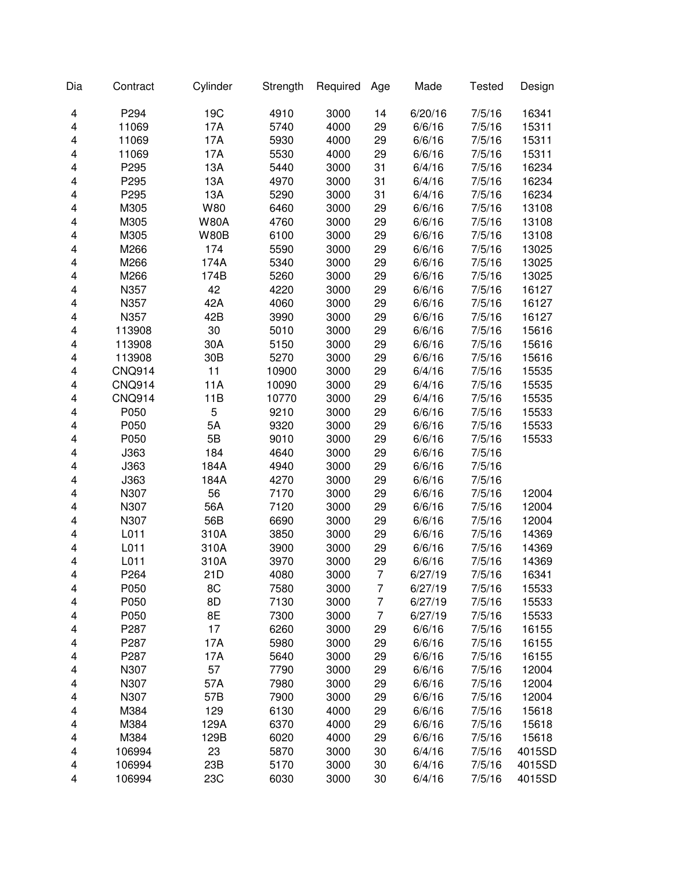| Dia | Contract      | Cylinder    | Strength | Required | Age | Made    | <b>Tested</b> | Design |
|-----|---------------|-------------|----------|----------|-----|---------|---------------|--------|
| 4   | P294          | 19C         | 4910     | 3000     | 14  | 6/20/16 | 7/5/16        | 16341  |
| 4   | 11069         | 17A         | 5740     | 4000     | 29  | 6/6/16  | 7/5/16        | 15311  |
| 4   | 11069         | 17A         | 5930     | 4000     | 29  | 6/6/16  | 7/5/16        | 15311  |
| 4   | 11069         | 17A         | 5530     | 4000     | 29  | 6/6/16  | 7/5/16        | 15311  |
| 4   | P295          | 13A         | 5440     | 3000     | 31  | 6/4/16  | 7/5/16        | 16234  |
| 4   | P295          | 13A         | 4970     | 3000     | 31  | 6/4/16  | 7/5/16        | 16234  |
| 4   | P295          | 13A         | 5290     | 3000     | 31  | 6/4/16  | 7/5/16        | 16234  |
| 4   | M305          | W80         | 6460     | 3000     | 29  | 6/6/16  | 7/5/16        | 13108  |
| 4   | M305          | <b>W80A</b> | 4760     | 3000     | 29  | 6/6/16  | 7/5/16        | 13108  |
| 4   | M305          | <b>W80B</b> | 6100     | 3000     | 29  | 6/6/16  | 7/5/16        | 13108  |
| 4   | M266          | 174         | 5590     | 3000     | 29  | 6/6/16  | 7/5/16        | 13025  |
| 4   | M266          | 174A        | 5340     | 3000     | 29  | 6/6/16  | 7/5/16        | 13025  |
| 4   | M266          | 174B        | 5260     | 3000     | 29  | 6/6/16  | 7/5/16        | 13025  |
| 4   | N357          | 42          | 4220     | 3000     | 29  | 6/6/16  | 7/5/16        | 16127  |
| 4   | N357          | 42A         | 4060     | 3000     | 29  | 6/6/16  | 7/5/16        | 16127  |
| 4   | N357          | 42B         | 3990     | 3000     | 29  | 6/6/16  | 7/5/16        | 16127  |
| 4   | 113908        | 30          | 5010     | 3000     | 29  | 6/6/16  | 7/5/16        | 15616  |
| 4   | 113908        | 30A         | 5150     | 3000     |     | 6/6/16  |               |        |
|     |               |             |          |          | 29  |         | 7/5/16        | 15616  |
| 4   | 113908        | 30B         | 5270     | 3000     | 29  | 6/6/16  | 7/5/16        | 15616  |
| 4   | <b>CNQ914</b> | 11          | 10900    | 3000     | 29  | 6/4/16  | 7/5/16        | 15535  |
| 4   | <b>CNQ914</b> | 11A         | 10090    | 3000     | 29  | 6/4/16  | 7/5/16        | 15535  |
| 4   | <b>CNQ914</b> | 11B         | 10770    | 3000     | 29  | 6/4/16  | 7/5/16        | 15535  |
| 4   | P050          | 5           | 9210     | 3000     | 29  | 6/6/16  | 7/5/16        | 15533  |
| 4   | P050          | 5A          | 9320     | 3000     | 29  | 6/6/16  | 7/5/16        | 15533  |
| 4   | P050          | 5B          | 9010     | 3000     | 29  | 6/6/16  | 7/5/16        | 15533  |
| 4   | J363          | 184         | 4640     | 3000     | 29  | 6/6/16  | 7/5/16        |        |
| 4   | J363          | 184A        | 4940     | 3000     | 29  | 6/6/16  | 7/5/16        |        |
| 4   | J363          | 184A        | 4270     | 3000     | 29  | 6/6/16  | 7/5/16        |        |
| 4   | N307          | 56          | 7170     | 3000     | 29  | 6/6/16  | 7/5/16        | 12004  |
| 4   | N307          | 56A         | 7120     | 3000     | 29  | 6/6/16  | 7/5/16        | 12004  |
| 4   | N307          | 56B         | 6690     | 3000     | 29  | 6/6/16  | 7/5/16        | 12004  |
| 4   | L011          | 310A        | 3850     | 3000     | 29  | 6/6/16  | 7/5/16        | 14369  |
| 4   | L011          | 310A        | 3900     | 3000     | 29  | 6/6/16  | 7/5/16        | 14369  |
| 4   | L011          | 310A        | 3970     | 3000     | 29  | 6/6/16  | 7/5/16        | 14369  |
| 4   | P264          | 21D         | 4080     | 3000     | 7   | 6/27/19 | 7/5/16        | 16341  |
| 4   | P050          | 8C          | 7580     | 3000     | 7   | 6/27/19 | 7/5/16        | 15533  |
| 4   | P050          | 8D          | 7130     | 3000     | 7   | 6/27/19 | 7/5/16        | 15533  |
| 4   | P050          | 8E          | 7300     | 3000     | 7   | 6/27/19 | 7/5/16        | 15533  |
| 4   | P287          | 17          | 6260     | 3000     | 29  | 6/6/16  | 7/5/16        | 16155  |
| 4   | P287          | 17A         | 5980     | 3000     | 29  | 6/6/16  | 7/5/16        | 16155  |
| 4   | P287          | 17A         | 5640     | 3000     | 29  | 6/6/16  | 7/5/16        | 16155  |
| 4   | N307          | 57          | 7790     | 3000     | 29  | 6/6/16  | 7/5/16        | 12004  |
| 4   | N307          | 57A         | 7980     | 3000     | 29  | 6/6/16  | 7/5/16        | 12004  |
| 4   | N307          | 57B         | 7900     | 3000     | 29  | 6/6/16  | 7/5/16        | 12004  |
| 4   | M384          | 129         | 6130     | 4000     | 29  | 6/6/16  | 7/5/16        | 15618  |
| 4   | M384          | 129A        | 6370     | 4000     | 29  | 6/6/16  | 7/5/16        | 15618  |
| 4   | M384          | 129B        | 6020     | 4000     | 29  | 6/6/16  | 7/5/16        | 15618  |
| 4   | 106994        | 23          | 5870     | 3000     | 30  | 6/4/16  | 7/5/16        | 4015SD |
|     |               | 23B         |          |          |     |         |               |        |
| 4   | 106994        |             | 5170     | 3000     | 30  | 6/4/16  | 7/5/16        | 4015SD |
| 4   | 106994        | 23C         | 6030     | 3000     | 30  | 6/4/16  | 7/5/16        | 4015SD |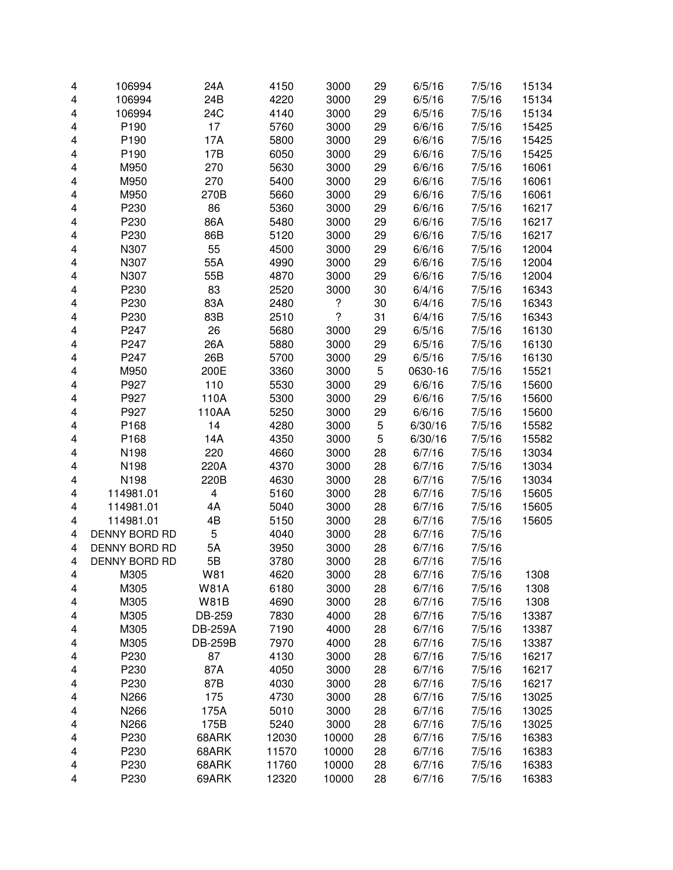| 4 | 106994                     | 24A                     | 4150         | 3000                     | 29 | 6/5/16           | 7/5/16           | 15134 |
|---|----------------------------|-------------------------|--------------|--------------------------|----|------------------|------------------|-------|
| 4 | 106994                     | 24B                     | 4220         | 3000                     | 29 | 6/5/16           | 7/5/16           | 15134 |
| 4 | 106994                     | 24C                     | 4140         | 3000                     | 29 | 6/5/16           | 7/5/16           | 15134 |
| 4 | P190                       | 17                      | 5760         | 3000                     | 29 | 6/6/16           | 7/5/16           | 15425 |
| 4 | P190                       | 17A                     | 5800         | 3000                     | 29 | 6/6/16           | 7/5/16           | 15425 |
| 4 | P190                       | 17B                     | 6050         | 3000                     | 29 | 6/6/16           | 7/5/16           | 15425 |
| 4 | M950                       | 270                     | 5630         | 3000                     | 29 | 6/6/16           | 7/5/16           | 16061 |
| 4 | M950                       | 270                     | 5400         | 3000                     | 29 | 6/6/16           | 7/5/16           | 16061 |
| 4 | M950                       | 270B                    | 5660         | 3000                     | 29 | 6/6/16           | 7/5/16           | 16061 |
| 4 | P230                       | 86                      | 5360         | 3000                     | 29 | 6/6/16           | 7/5/16           | 16217 |
| 4 | P230                       | 86A                     | 5480         | 3000                     | 29 | 6/6/16           | 7/5/16           | 16217 |
| 4 | P230                       | 86B                     | 5120         | 3000                     | 29 | 6/6/16           | 7/5/16           | 16217 |
| 4 | N307                       | 55                      | 4500         | 3000                     | 29 | 6/6/16           | 7/5/16           | 12004 |
| 4 | N307                       | 55A                     | 4990         | 3000                     | 29 | 6/6/16           | 7/5/16           | 12004 |
| 4 | N307                       | 55B                     | 4870         | 3000                     | 29 | 6/6/16           | 7/5/16           | 12004 |
| 4 | P230                       | 83                      | 2520         | 3000                     | 30 | 6/4/16           | 7/5/16           | 16343 |
| 4 | P230                       | 83A                     | 2480         | ?                        | 30 | 6/4/16           | 7/5/16           | 16343 |
| 4 | P230                       | 83B                     | 2510         | $\overline{\mathcal{C}}$ | 31 | 6/4/16           | 7/5/16           | 16343 |
| 4 | P247                       | 26                      | 5680         | 3000                     | 29 | 6/5/16           | 7/5/16           | 16130 |
| 4 | P247                       | 26A                     | 5880         | 3000                     | 29 | 6/5/16           | 7/5/16           | 16130 |
| 4 | P247                       | 26B                     | 5700         | 3000                     | 29 | 6/5/16           | 7/5/16           | 16130 |
| 4 | M950                       | 200E                    | 3360         | 3000                     | 5  | 0630-16          | 7/5/16           | 15521 |
| 4 | P927                       | 110                     | 5530         | 3000                     | 29 | 6/6/16           | 7/5/16           | 15600 |
| 4 | P927                       | 110A                    | 5300         | 3000                     | 29 | 6/6/16           | 7/5/16           | 15600 |
| 4 | P927                       | 110AA                   | 5250         | 3000                     | 29 | 6/6/16           | 7/5/16           | 15600 |
| 4 | P168                       | 14                      | 4280         | 3000                     | 5  | 6/30/16          | 7/5/16           | 15582 |
| 4 | P168                       | 14A                     | 4350         | 3000                     | 5  | 6/30/16          | 7/5/16           | 15582 |
| 4 | N198                       | 220                     | 4660         | 3000                     | 28 | 6/7/16           | 7/5/16           | 13034 |
| 4 | N198                       | 220A                    | 4370         | 3000                     | 28 | 6/7/16           | 7/5/16           | 13034 |
|   | N198                       | 220B                    | 4630         | 3000                     | 28 | 6/7/16           | 7/5/16           | 13034 |
| 4 | 114981.01                  | $\overline{\mathbf{4}}$ |              |                          |    |                  |                  |       |
| 4 | 114981.01                  | 4A                      | 5160<br>5040 | 3000<br>3000             | 28 | 6/7/16           | 7/5/16<br>7/5/16 | 15605 |
| 4 |                            |                         |              |                          | 28 | 6/7/16<br>6/7/16 |                  | 15605 |
| 4 | 114981.01<br>DENNY BORD RD | 4B<br>5                 | 5150         | 3000                     | 28 |                  | 7/5/16           | 15605 |
| 4 |                            |                         | 4040         | 3000                     | 28 | 6/7/16           | 7/5/16           |       |
| 4 | DENNY BORD RD              | 5A                      | 3950         | 3000                     | 28 | 6/7/16           | 7/5/16<br>7/5/16 |       |
| 4 | DENNY BORD RD              | 5B                      | 3780         | 3000                     | 28 | 6/7/16           |                  |       |
| 4 | M305                       | W81                     | 4620         | 3000                     | 28 | 6/7/16           | 7/5/16           | 1308  |
| 4 | M305                       | <b>W81A</b>             | 6180         | 3000                     | 28 | 6/7/16           | 7/5/16           | 1308  |
| 4 | M305                       | <b>W81B</b>             | 4690         | 3000                     | 28 | 6/7/16           | 7/5/16           | 1308  |
| 4 | M305                       | DB-259                  | 7830         | 4000                     | 28 | 6/7/16           | 7/5/16           | 13387 |
| 4 | M305                       | <b>DB-259A</b>          | 7190         | 4000                     | 28 | 6/7/16           | 7/5/16           | 13387 |
| 4 | M305                       | <b>DB-259B</b>          | 7970         | 4000                     | 28 | 6/7/16           | 7/5/16           | 13387 |
| 4 | P230                       | 87                      | 4130         | 3000                     | 28 | 6/7/16           | 7/5/16           | 16217 |
| 4 | P230                       | 87A                     | 4050         | 3000                     | 28 | 6/7/16           | 7/5/16           | 16217 |
| 4 | P230                       | 87B                     | 4030         | 3000                     | 28 | 6/7/16           | 7/5/16           | 16217 |
| 4 | N266                       | 175                     | 4730         | 3000                     | 28 | 6/7/16           | 7/5/16           | 13025 |
| 4 | N266                       | 175A                    | 5010         | 3000                     | 28 | 6/7/16           | 7/5/16           | 13025 |
| 4 | N266                       | 175B                    | 5240         | 3000                     | 28 | 6/7/16           | 7/5/16           | 13025 |
| 4 | P230                       | 68ARK                   | 12030        | 10000                    | 28 | 6/7/16           | 7/5/16           | 16383 |
| 4 | P230                       | 68ARK                   | 11570        | 10000                    | 28 | 6/7/16           | 7/5/16           | 16383 |
| 4 | P230                       | 68ARK                   | 11760        | 10000                    | 28 | 6/7/16           | 7/5/16           | 16383 |
| 4 | P230                       | 69ARK                   | 12320        | 10000                    | 28 | 6/7/16           | 7/5/16           | 16383 |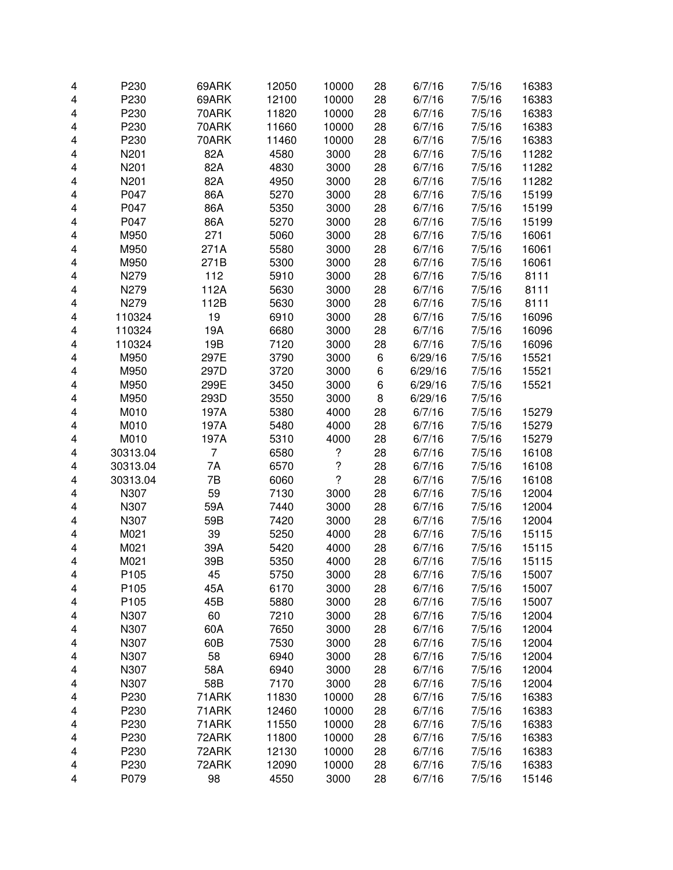| $\overline{\mathbf{4}}$ | P230             | 69ARK | 12050 | 10000                | 28 | 6/7/16  | 7/5/16 | 16383 |
|-------------------------|------------------|-------|-------|----------------------|----|---------|--------|-------|
| 4                       | P230             | 69ARK | 12100 | 10000                | 28 | 6/7/16  | 7/5/16 | 16383 |
| 4                       | P230             | 70ARK | 11820 | 10000                | 28 | 6/7/16  | 7/5/16 | 16383 |
| 4                       | P230             | 70ARK | 11660 | 10000                | 28 | 6/7/16  | 7/5/16 | 16383 |
| 4                       | P230             | 70ARK | 11460 | 10000                | 28 | 6/7/16  | 7/5/16 | 16383 |
| 4                       | N201             | 82A   | 4580  | 3000                 | 28 | 6/7/16  | 7/5/16 | 11282 |
| 4                       | N201             | 82A   | 4830  | 3000                 | 28 | 6/7/16  | 7/5/16 | 11282 |
|                         |                  |       |       |                      |    |         |        |       |
| 4                       | N201             | 82A   | 4950  | 3000                 | 28 | 6/7/16  | 7/5/16 | 11282 |
| 4                       | P047             | 86A   | 5270  | 3000                 | 28 | 6/7/16  | 7/5/16 | 15199 |
| 4                       | P047             | 86A   | 5350  | 3000                 | 28 | 6/7/16  | 7/5/16 | 15199 |
| 4                       | P047             | 86A   | 5270  | 3000                 | 28 | 6/7/16  | 7/5/16 | 15199 |
| 4                       | M950             | 271   | 5060  | 3000                 | 28 | 6/7/16  | 7/5/16 | 16061 |
| 4                       | M950             | 271A  | 5580  | 3000                 | 28 | 6/7/16  | 7/5/16 | 16061 |
| 4                       | M950             | 271B  | 5300  | 3000                 | 28 | 6/7/16  | 7/5/16 | 16061 |
| 4                       | N279             | 112   | 5910  | 3000                 | 28 | 6/7/16  | 7/5/16 | 8111  |
| $\overline{\mathbf{4}}$ | N279             | 112A  | 5630  | 3000                 | 28 | 6/7/16  | 7/5/16 | 8111  |
| 4                       | N279             | 112B  | 5630  | 3000                 | 28 | 6/7/16  | 7/5/16 | 8111  |
| 4                       | 110324           | 19    | 6910  | 3000                 | 28 | 6/7/16  | 7/5/16 | 16096 |
| 4                       | 110324           | 19A   | 6680  | 3000                 | 28 | 6/7/16  | 7/5/16 | 16096 |
| 4                       | 110324           | 19B   | 7120  | 3000                 | 28 | 6/7/16  | 7/5/16 | 16096 |
| 4                       | M950             | 297E  | 3790  | 3000                 | 6  | 6/29/16 | 7/5/16 | 15521 |
| 4                       | M950             | 297D  | 3720  | 3000                 | 6  | 6/29/16 | 7/5/16 | 15521 |
| 4                       | M950             | 299E  | 3450  | 3000                 | 6  | 6/29/16 | 7/5/16 | 15521 |
|                         | M950             |       |       |                      |    |         |        |       |
| 4                       |                  | 293D  | 3550  | 3000                 | 8  | 6/29/16 | 7/5/16 |       |
| 4                       | M010             | 197A  | 5380  | 4000                 | 28 | 6/7/16  | 7/5/16 | 15279 |
| 4                       | M010             | 197A  | 5480  | 4000                 | 28 | 6/7/16  | 7/5/16 | 15279 |
| 4                       | M010             | 197A  | 5310  | 4000                 | 28 | 6/7/16  | 7/5/16 | 15279 |
| 4                       | 30313.04         | 7     | 6580  | ?                    | 28 | 6/7/16  | 7/5/16 | 16108 |
| 4                       | 30313.04         | 7A    | 6570  | $\ddot{\phantom{0}}$ | 28 | 6/7/16  | 7/5/16 | 16108 |
| 4                       | 30313.04         | 7B    | 6060  | $\overline{?}$       | 28 | 6/7/16  | 7/5/16 | 16108 |
| 4                       | N307             | 59    | 7130  | 3000                 | 28 | 6/7/16  | 7/5/16 | 12004 |
| 4                       | N307             | 59A   | 7440  | 3000                 | 28 | 6/7/16  | 7/5/16 | 12004 |
| $\overline{\mathbf{4}}$ | N307             | 59B   | 7420  | 3000                 | 28 | 6/7/16  | 7/5/16 | 12004 |
| 4                       | M021             | 39    | 5250  | 4000                 | 28 | 6/7/16  | 7/5/16 | 15115 |
| 4                       | M021             | 39A   | 5420  | 4000                 | 28 | 6/7/16  | 7/5/16 | 15115 |
| 4                       | M021             | 39B   | 5350  | 4000                 | 28 | 6/7/16  | 7/5/16 | 15115 |
| 4                       | P <sub>105</sub> | 45    | 5750  | 3000                 | 28 | 6/7/16  | 7/5/16 | 15007 |
| 4                       | P105             | 45A   | 6170  | 3000                 | 28 | 6/7/16  | 7/5/16 | 15007 |
| 4                       | P105             | 45B   | 5880  | 3000                 | 28 | 6/7/16  | 7/5/16 | 15007 |
| 4                       | N307             | 60    | 7210  | 3000                 | 28 | 6/7/16  | 7/5/16 | 12004 |
|                         | N307             | 60A   | 7650  | 3000                 | 28 | 6/7/16  | 7/5/16 | 12004 |
| 4                       |                  |       |       |                      |    |         |        |       |
| 4                       | N307             | 60B   | 7530  | 3000                 | 28 | 6/7/16  | 7/5/16 | 12004 |
| 4                       | N307             | 58    | 6940  | 3000                 | 28 | 6/7/16  | 7/5/16 | 12004 |
| 4                       | N307             | 58A   | 6940  | 3000                 | 28 | 6/7/16  | 7/5/16 | 12004 |
| 4                       | N307             | 58B   | 7170  | 3000                 | 28 | 6/7/16  | 7/5/16 | 12004 |
| 4                       | P230             | 71ARK | 11830 | 10000                | 28 | 6/7/16  | 7/5/16 | 16383 |
| 4                       | P230             | 71ARK | 12460 | 10000                | 28 | 6/7/16  | 7/5/16 | 16383 |
| 4                       | P230             | 71ARK | 11550 | 10000                | 28 | 6/7/16  | 7/5/16 | 16383 |
| 4                       | P230             | 72ARK | 11800 | 10000                | 28 | 6/7/16  | 7/5/16 | 16383 |
| 4                       | P230             | 72ARK | 12130 | 10000                | 28 | 6/7/16  | 7/5/16 | 16383 |
| 4                       | P230             | 72ARK | 12090 | 10000                | 28 | 6/7/16  | 7/5/16 | 16383 |
| 4                       | P079             | 98    | 4550  | 3000                 | 28 | 6/7/16  | 7/5/16 | 15146 |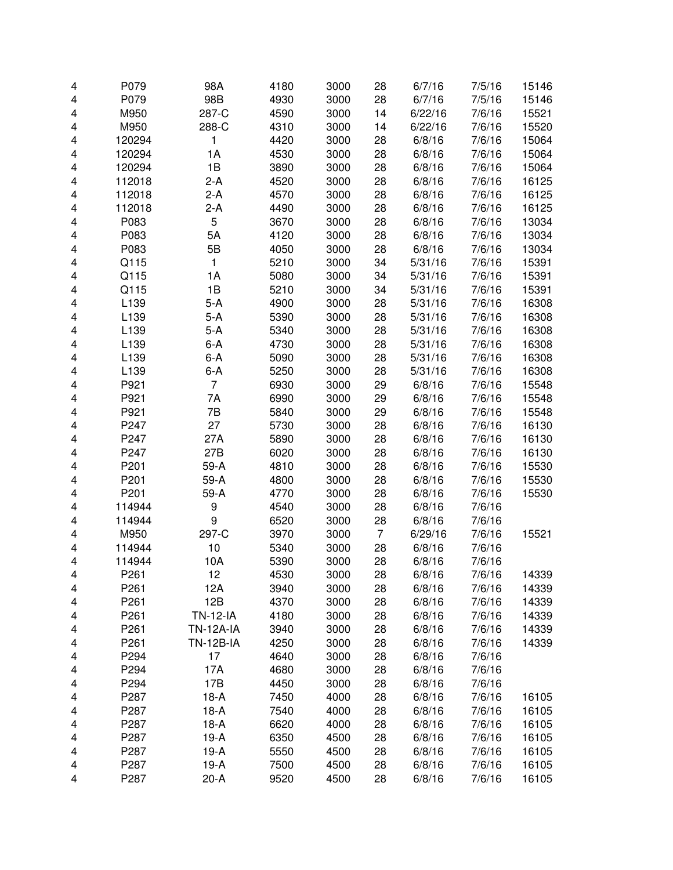| 4                       | P079             | 98A              | 4180 | 3000 | 28             | 6/7/16  | 7/5/16 | 15146 |
|-------------------------|------------------|------------------|------|------|----------------|---------|--------|-------|
| 4                       | P079             | 98B              | 4930 | 3000 | 28             | 6/7/16  | 7/5/16 | 15146 |
| 4                       | M950             | 287-C            | 4590 | 3000 | 14             | 6/22/16 | 7/6/16 | 15521 |
| 4                       | M950             | 288-C            | 4310 | 3000 | 14             | 6/22/16 | 7/6/16 | 15520 |
| 4                       | 120294           | 1                | 4420 | 3000 | 28             | 6/8/16  | 7/6/16 | 15064 |
| 4                       | 120294           | 1A               | 4530 | 3000 | 28             | 6/8/16  | 7/6/16 | 15064 |
| 4                       | 120294           | 1B               | 3890 | 3000 | 28             | 6/8/16  | 7/6/16 | 15064 |
|                         |                  |                  | 4520 | 3000 |                |         |        |       |
| 4                       | 112018           | 2-A              |      |      | 28             | 6/8/16  | 7/6/16 | 16125 |
| 4                       | 112018           | $2-A$            | 4570 | 3000 | 28             | 6/8/16  | 7/6/16 | 16125 |
| 4                       | 112018           | 2-A              | 4490 | 3000 | 28             | 6/8/16  | 7/6/16 | 16125 |
| 4                       | P083             | 5                | 3670 | 3000 | 28             | 6/8/16  | 7/6/16 | 13034 |
| 4                       | P083             | 5A               | 4120 | 3000 | 28             | 6/8/16  | 7/6/16 | 13034 |
| 4                       | P083             | 5B               | 4050 | 3000 | 28             | 6/8/16  | 7/6/16 | 13034 |
| 4                       | Q115             | $\mathbf{1}$     | 5210 | 3000 | 34             | 5/31/16 | 7/6/16 | 15391 |
| 4                       | Q115             | 1A               | 5080 | 3000 | 34             | 5/31/16 | 7/6/16 | 15391 |
| $\overline{\mathbf{4}}$ | Q115             | 1B               | 5210 | 3000 | 34             | 5/31/16 | 7/6/16 | 15391 |
| $\overline{\mathbf{4}}$ | L139             | $5-A$            | 4900 | 3000 | 28             | 5/31/16 | 7/6/16 | 16308 |
| 4                       | L139             | $5-A$            | 5390 | 3000 | 28             | 5/31/16 | 7/6/16 | 16308 |
| 4                       | L139             | $5-A$            | 5340 | 3000 | 28             | 5/31/16 | 7/6/16 | 16308 |
| 4                       | L139             | $6-A$            | 4730 | 3000 | 28             | 5/31/16 | 7/6/16 | 16308 |
| 4                       | L139             | $6-A$            | 5090 | 3000 | 28             | 5/31/16 | 7/6/16 | 16308 |
| 4                       | L139             | $6-A$            | 5250 | 3000 | 28             | 5/31/16 | 7/6/16 | 16308 |
| 4                       | P921             | 7                | 6930 | 3000 | 29             | 6/8/16  | 7/6/16 | 15548 |
|                         |                  |                  |      |      |                |         |        |       |
| 4                       | P921             | 7Α               | 6990 | 3000 | 29             | 6/8/16  | 7/6/16 | 15548 |
| 4                       | P921             | 7B               | 5840 | 3000 | 29             | 6/8/16  | 7/6/16 | 15548 |
| 4                       | P247             | 27               | 5730 | 3000 | 28             | 6/8/16  | 7/6/16 | 16130 |
| 4                       | P247             | 27A              | 5890 | 3000 | 28             | 6/8/16  | 7/6/16 | 16130 |
| 4                       | P247             | 27B              | 6020 | 3000 | 28             | 6/8/16  | 7/6/16 | 16130 |
| 4                       | P201             | 59-A             | 4810 | 3000 | 28             | 6/8/16  | 7/6/16 | 15530 |
| 4                       | P201             | 59-A             | 4800 | 3000 | 28             | 6/8/16  | 7/6/16 | 15530 |
| 4                       | P201             | 59-A             | 4770 | 3000 | 28             | 6/8/16  | 7/6/16 | 15530 |
| 4                       | 114944           | 9                | 4540 | 3000 | 28             | 6/8/16  | 7/6/16 |       |
| $\overline{\mathbf{4}}$ | 114944           | $\boldsymbol{9}$ | 6520 | 3000 | 28             | 6/8/16  | 7/6/16 |       |
| $\overline{\mathbf{4}}$ | M950             | 297-C            | 3970 | 3000 | $\overline{7}$ | 6/29/16 | 7/6/16 | 15521 |
| 4                       | 114944           | 10               | 5340 | 3000 | 28             | 6/8/16  | 7/6/16 |       |
| 4                       | 114944           | 10A              | 5390 | 3000 | 28             | 6/8/16  | 7/6/16 |       |
| 4                       | P <sub>261</sub> | 12               | 4530 | 3000 | 28             | 6/8/16  | 7/6/16 | 14339 |
| 4                       | P261             | 12A              | 3940 | 3000 | 28             | 6/8/16  | 7/6/16 | 14339 |
| 4                       | P261             | 12B              | 4370 | 3000 | 28             | 6/8/16  | 7/6/16 | 14339 |
| 4                       | P261             | <b>TN-12-IA</b>  | 4180 | 3000 | 28             | 6/8/16  | 7/6/16 | 14339 |
|                         | P261             | <b>TN-12A-IA</b> | 3940 | 3000 | 28             | 6/8/16  | 7/6/16 | 14339 |
| 4                       |                  |                  |      |      |                |         |        |       |
| 4                       | P261             | <b>TN-12B-IA</b> | 4250 | 3000 | 28             | 6/8/16  | 7/6/16 | 14339 |
| 4                       | P294             | 17               | 4640 | 3000 | 28             | 6/8/16  | 7/6/16 |       |
| 4                       | P294             | 17A              | 4680 | 3000 | 28             | 6/8/16  | 7/6/16 |       |
| 4                       | P294             | 17B              | 4450 | 3000 | 28             | 6/8/16  | 7/6/16 |       |
| 4                       | P287             | $18-A$           | 7450 | 4000 | 28             | 6/8/16  | 7/6/16 | 16105 |
| 4                       | P287             | $18-A$           | 7540 | 4000 | 28             | 6/8/16  | 7/6/16 | 16105 |
| 4                       | P287             | $18-A$           | 6620 | 4000 | 28             | 6/8/16  | 7/6/16 | 16105 |
| 4                       | P287             | $19-A$           | 6350 | 4500 | 28             | 6/8/16  | 7/6/16 | 16105 |
| 4                       | P287             | $19-A$           | 5550 | 4500 | 28             | 6/8/16  | 7/6/16 | 16105 |
| 4                       | P287             | $19-A$           | 7500 | 4500 | 28             | 6/8/16  | 7/6/16 | 16105 |
| 4                       | P287             | $20-A$           | 9520 | 4500 | 28             | 6/8/16  | 7/6/16 | 16105 |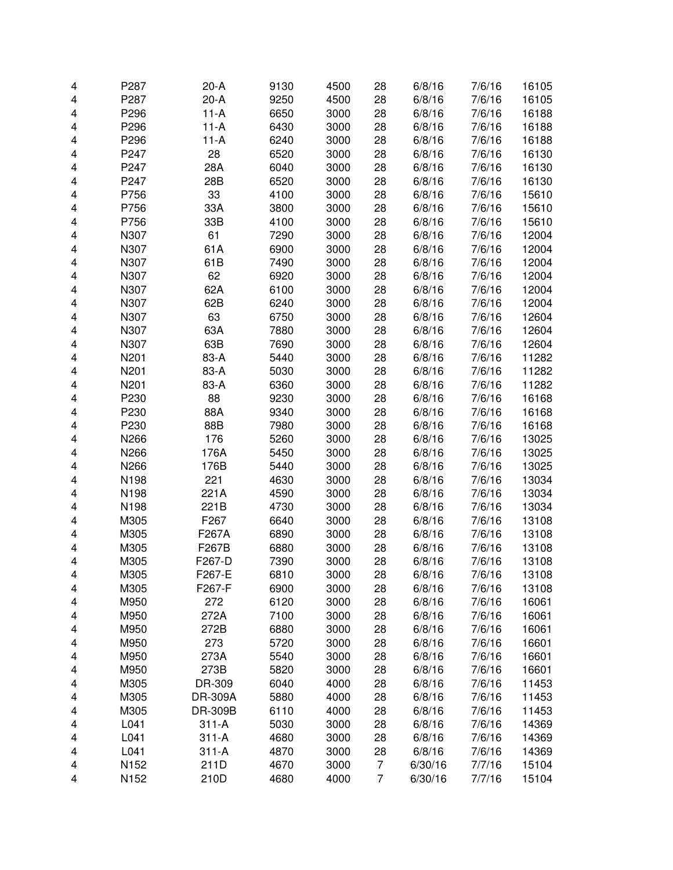| 4                       | P287 | $20-A$  | 9130 | 4500 | 28 | 6/8/16  | 7/6/16 | 16105 |
|-------------------------|------|---------|------|------|----|---------|--------|-------|
| 4                       | P287 | $20-A$  | 9250 | 4500 | 28 | 6/8/16  | 7/6/16 | 16105 |
| 4                       | P296 | $11-A$  | 6650 | 3000 | 28 | 6/8/16  | 7/6/16 | 16188 |
| 4                       | P296 | $11-A$  | 6430 | 3000 | 28 | 6/8/16  | 7/6/16 | 16188 |
| 4                       | P296 | $11-A$  | 6240 | 3000 | 28 | 6/8/16  | 7/6/16 | 16188 |
| 4                       | P247 | 28      | 6520 | 3000 | 28 | 6/8/16  | 7/6/16 | 16130 |
| 4                       | P247 | 28A     | 6040 | 3000 | 28 | 6/8/16  | 7/6/16 | 16130 |
|                         |      |         |      |      |    |         |        |       |
| 4                       | P247 | 28B     | 6520 | 3000 | 28 | 6/8/16  | 7/6/16 | 16130 |
| 4                       | P756 | 33      | 4100 | 3000 | 28 | 6/8/16  | 7/6/16 | 15610 |
| 4                       | P756 | 33A     | 3800 | 3000 | 28 | 6/8/16  | 7/6/16 | 15610 |
| 4                       | P756 | 33B     | 4100 | 3000 | 28 | 6/8/16  | 7/6/16 | 15610 |
| 4                       | N307 | 61      | 7290 | 3000 | 28 | 6/8/16  | 7/6/16 | 12004 |
| 4                       | N307 | 61A     | 6900 | 3000 | 28 | 6/8/16  | 7/6/16 | 12004 |
| 4                       | N307 | 61B     | 7490 | 3000 | 28 | 6/8/16  | 7/6/16 | 12004 |
| 4                       | N307 | 62      | 6920 | 3000 | 28 | 6/8/16  | 7/6/16 | 12004 |
| $\overline{\mathbf{4}}$ | N307 | 62A     | 6100 | 3000 | 28 | 6/8/16  | 7/6/16 | 12004 |
| 4                       | N307 | 62B     | 6240 | 3000 | 28 | 6/8/16  | 7/6/16 | 12004 |
| 4                       | N307 | 63      | 6750 | 3000 | 28 | 6/8/16  | 7/6/16 | 12604 |
| 4                       | N307 | 63A     | 7880 | 3000 | 28 | 6/8/16  | 7/6/16 | 12604 |
| 4                       | N307 | 63B     | 7690 | 3000 | 28 | 6/8/16  | 7/6/16 | 12604 |
| 4                       | N201 | 83-A    | 5440 | 3000 | 28 | 6/8/16  | 7/6/16 | 11282 |
| 4                       | N201 | 83-A    | 5030 | 3000 | 28 | 6/8/16  | 7/6/16 | 11282 |
| 4                       | N201 | 83-A    | 6360 | 3000 | 28 | 6/8/16  | 7/6/16 | 11282 |
| 4                       | P230 | 88      | 9230 | 3000 | 28 | 6/8/16  | 7/6/16 | 16168 |
| 4                       | P230 | 88A     | 9340 | 3000 | 28 | 6/8/16  | 7/6/16 | 16168 |
|                         |      |         |      |      |    |         |        |       |
| 4                       | P230 | 88B     | 7980 | 3000 | 28 | 6/8/16  | 7/6/16 | 16168 |
| 4                       | N266 | 176     | 5260 | 3000 | 28 | 6/8/16  | 7/6/16 | 13025 |
| 4                       | N266 | 176A    | 5450 | 3000 | 28 | 6/8/16  | 7/6/16 | 13025 |
| 4                       | N266 | 176B    | 5440 | 3000 | 28 | 6/8/16  | 7/6/16 | 13025 |
| 4                       | N198 | 221     | 4630 | 3000 | 28 | 6/8/16  | 7/6/16 | 13034 |
| 4                       | N198 | 221A    | 4590 | 3000 | 28 | 6/8/16  | 7/6/16 | 13034 |
| 4                       | N198 | 221B    | 4730 | 3000 | 28 | 6/8/16  | 7/6/16 | 13034 |
| $\overline{\mathbf{4}}$ | M305 | F267    | 6640 | 3000 | 28 | 6/8/16  | 7/6/16 | 13108 |
| 4                       | M305 | F267A   | 6890 | 3000 | 28 | 6/8/16  | 7/6/16 | 13108 |
| 4                       | M305 | F267B   | 6880 | 3000 | 28 | 6/8/16  | 7/6/16 | 13108 |
| 4                       | M305 | F267-D  | 7390 | 3000 | 28 | 6/8/16  | 7/6/16 | 13108 |
| 4                       | M305 | F267-E  | 6810 | 3000 | 28 | 6/8/16  | 7/6/16 | 13108 |
| 4                       | M305 | F267-F  | 6900 | 3000 | 28 | 6/8/16  | 7/6/16 | 13108 |
| 4                       | M950 | 272     | 6120 | 3000 | 28 | 6/8/16  | 7/6/16 | 16061 |
| 4                       | M950 | 272A    | 7100 | 3000 | 28 | 6/8/16  | 7/6/16 | 16061 |
| 4                       | M950 | 272B    | 6880 | 3000 | 28 | 6/8/16  | 7/6/16 | 16061 |
| 4                       | M950 | 273     | 5720 | 3000 | 28 | 6/8/16  | 7/6/16 | 16601 |
| 4                       | M950 | 273A    | 5540 | 3000 | 28 | 6/8/16  | 7/6/16 | 16601 |
| 4                       | M950 | 273B    | 5820 | 3000 | 28 | 6/8/16  | 7/6/16 | 16601 |
| 4                       | M305 | DR-309  | 6040 | 4000 | 28 | 6/8/16  | 7/6/16 | 11453 |
|                         |      |         |      | 4000 | 28 |         | 7/6/16 | 11453 |
| 4                       | M305 | DR-309A | 5880 |      |    | 6/8/16  |        |       |
| 4                       | M305 | DR-309B | 6110 | 4000 | 28 | 6/8/16  | 7/6/16 | 11453 |
| 4                       | L041 | $311-A$ | 5030 | 3000 | 28 | 6/8/16  | 7/6/16 | 14369 |
| 4                       | L041 | $311-A$ | 4680 | 3000 | 28 | 6/8/16  | 7/6/16 | 14369 |
| 4                       | L041 | $311-A$ | 4870 | 3000 | 28 | 6/8/16  | 7/6/16 | 14369 |
| 4                       | N152 | 211D    | 4670 | 3000 | 7  | 6/30/16 | 7/7/16 | 15104 |
| 4                       | N152 | 210D    | 4680 | 4000 | 7  | 6/30/16 | 7/7/16 | 15104 |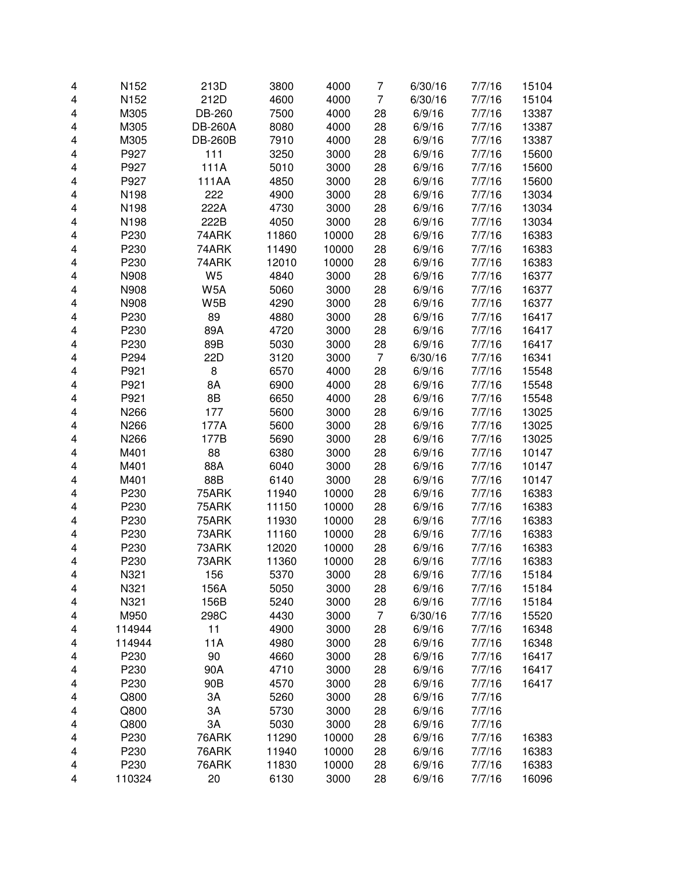| 4 | N152   | 213D             | 3800  | 4000  | 7              | 6/30/16 | 7/7/16 | 15104 |
|---|--------|------------------|-------|-------|----------------|---------|--------|-------|
| 4 | N152   | 212D             | 4600  | 4000  | 7              | 6/30/16 | 7/7/16 | 15104 |
| 4 | M305   | DB-260           | 7500  | 4000  | 28             | 6/9/16  | 7/7/16 | 13387 |
| 4 | M305   | <b>DB-260A</b>   | 8080  | 4000  | 28             | 6/9/16  | 7/7/16 | 13387 |
| 4 | M305   | <b>DB-260B</b>   | 7910  | 4000  | 28             | 6/9/16  | 7/7/16 | 13387 |
| 4 | P927   | 111              | 3250  | 3000  | 28             | 6/9/16  | 7/7/16 | 15600 |
| 4 | P927   | 111A             | 5010  | 3000  | 28             | 6/9/16  | 7/7/16 | 15600 |
| 4 | P927   | 111AA            | 4850  | 3000  | 28             | 6/9/16  | 7/7/16 | 15600 |
| 4 | N198   | 222              | 4900  | 3000  | 28             | 6/9/16  | 7/7/16 | 13034 |
| 4 | N198   | 222A             | 4730  | 3000  | 28             | 6/9/16  | 7/7/16 | 13034 |
| 4 | N198   | 222B             | 4050  | 3000  | 28             | 6/9/16  | 7/7/16 | 13034 |
| 4 | P230   | 74ARK            | 11860 | 10000 | 28             | 6/9/16  | 7/7/16 | 16383 |
| 4 | P230   | 74ARK            | 11490 | 10000 | 28             | 6/9/16  | 7/7/16 | 16383 |
| 4 | P230   | 74ARK            | 12010 | 10000 | 28             | 6/9/16  | 7/7/16 | 16383 |
| 4 | N908   | W <sub>5</sub>   | 4840  | 3000  | 28             | 6/9/16  | 7/7/16 | 16377 |
| 4 | N908   | W <sub>5</sub> A | 5060  | 3000  | 28             | 6/9/16  | 7/7/16 | 16377 |
| 4 | N908   | W <sub>5</sub> B | 4290  | 3000  | 28             | 6/9/16  | 7/7/16 | 16377 |
| 4 | P230   | 89               | 4880  | 3000  | 28             | 6/9/16  | 7/7/16 | 16417 |
| 4 | P230   | 89A              | 4720  | 3000  | 28             | 6/9/16  | 7/7/16 | 16417 |
| 4 | P230   | 89B              | 5030  | 3000  | 28             | 6/9/16  | 7/7/16 | 16417 |
| 4 | P294   | 22D              | 3120  | 3000  | 7              | 6/30/16 | 7/7/16 | 16341 |
| 4 | P921   | 8                | 6570  | 4000  | 28             | 6/9/16  | 7/7/16 | 15548 |
| 4 | P921   | 8A               | 6900  | 4000  | 28             | 6/9/16  | 7/7/16 | 15548 |
| 4 | P921   | 8B               | 6650  | 4000  | 28             | 6/9/16  | 7/7/16 | 15548 |
| 4 | N266   | 177              | 5600  | 3000  | 28             | 6/9/16  | 7/7/16 | 13025 |
| 4 | N266   | 177A             | 5600  | 3000  | 28             | 6/9/16  | 7/7/16 | 13025 |
| 4 | N266   | 177B             | 5690  | 3000  | 28             | 6/9/16  | 7/7/16 | 13025 |
| 4 | M401   | 88               | 6380  | 3000  | 28             | 6/9/16  | 7/7/16 | 10147 |
| 4 | M401   | 88A              | 6040  | 3000  | 28             | 6/9/16  | 7/7/16 | 10147 |
| 4 | M401   | 88B              | 6140  | 3000  | 28             | 6/9/16  | 7/7/16 | 10147 |
| 4 | P230   | 75ARK            | 11940 | 10000 | 28             | 6/9/16  | 7/7/16 | 16383 |
| 4 | P230   | 75ARK            | 11150 | 10000 | 28             | 6/9/16  | 7/7/16 | 16383 |
| 4 | P230   | 75ARK            | 11930 | 10000 | 28             | 6/9/16  | 7/7/16 | 16383 |
| 4 | P230   | 73ARK            | 11160 | 10000 | 28             | 6/9/16  | 7/7/16 | 16383 |
| 4 | P230   | 73ARK            | 12020 | 10000 | 28             | 6/9/16  | 7/7/16 | 16383 |
| 4 | P230   | 73ARK            | 11360 | 10000 | 28             | 6/9/16  | 7/7/16 | 16383 |
| 4 | N321   | 156              | 5370  | 3000  | 28             | 6/9/16  | 7/7/16 | 15184 |
| 4 | N321   | 156A             | 5050  | 3000  | 28             | 6/9/16  | 7/7/16 | 15184 |
| 4 | N321   | 156B             | 5240  | 3000  | 28             | 6/9/16  | 7/7/16 | 15184 |
| 4 | M950   | 298C             | 4430  | 3000  | $\overline{7}$ | 6/30/16 | 7/7/16 | 15520 |
| 4 | 114944 | 11               | 4900  | 3000  | 28             | 6/9/16  | 7/7/16 | 16348 |
| 4 | 114944 | 11A              | 4980  | 3000  | 28             | 6/9/16  | 7/7/16 | 16348 |
| 4 | P230   | 90               | 4660  | 3000  | 28             | 6/9/16  | 7/7/16 | 16417 |
| 4 | P230   | 90A              | 4710  | 3000  | 28             | 6/9/16  | 7/7/16 | 16417 |
| 4 | P230   | 90B              | 4570  | 3000  | 28             | 6/9/16  | 7/7/16 | 16417 |
| 4 | Q800   | 3A               | 5260  | 3000  | 28             | 6/9/16  | 7/7/16 |       |
| 4 | Q800   | 3A               | 5730  | 3000  | 28             | 6/9/16  | 7/7/16 |       |
| 4 | Q800   | 3A               | 5030  | 3000  | 28             | 6/9/16  | 7/7/16 |       |
| 4 | P230   | 76ARK            | 11290 | 10000 | 28             | 6/9/16  | 7/7/16 | 16383 |
| 4 | P230   | 76ARK            | 11940 | 10000 | 28             | 6/9/16  | 7/7/16 | 16383 |
| 4 | P230   | 76ARK            | 11830 | 10000 | 28             | 6/9/16  | 7/7/16 | 16383 |
| 4 | 110324 | 20               | 6130  | 3000  | 28             | 6/9/16  | 7/7/16 | 16096 |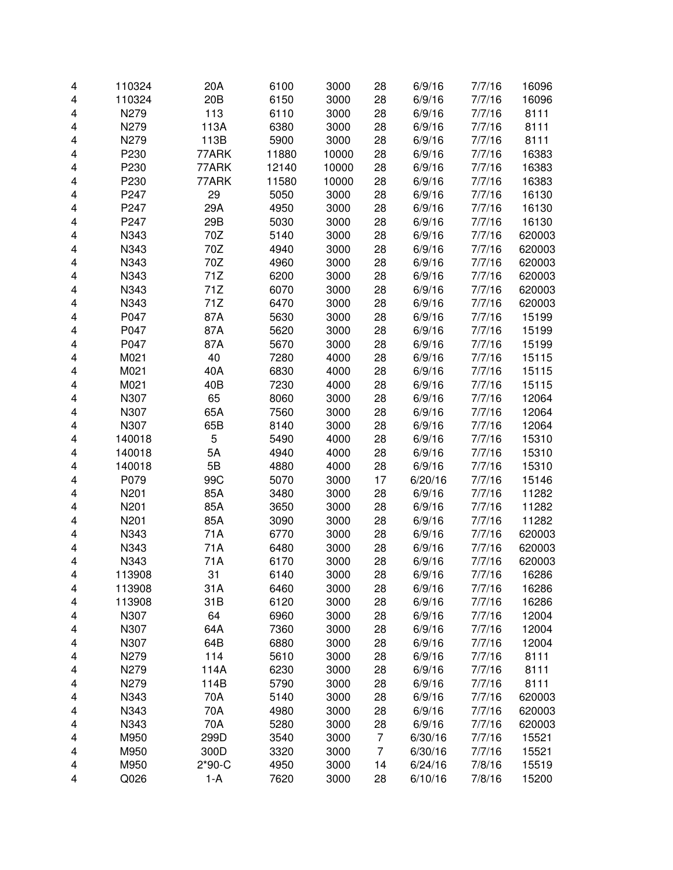| $\overline{\mathbf{4}}$ | 110324 | 20A             | 6100  | 3000  | 28             | 6/9/16  | 7/7/16 | 16096  |
|-------------------------|--------|-----------------|-------|-------|----------------|---------|--------|--------|
| 4                       | 110324 | 20 <sub>B</sub> | 6150  | 3000  | 28             | 6/9/16  | 7/7/16 | 16096  |
| 4                       | N279   | 113             | 6110  | 3000  | 28             | 6/9/16  | 7/7/16 | 8111   |
| 4                       | N279   | 113A            | 6380  | 3000  | 28             | 6/9/16  | 7/7/16 | 8111   |
| 4                       | N279   | 113B            | 5900  | 3000  | 28             | 6/9/16  | 7/7/16 | 8111   |
| 4                       | P230   | 77ARK           | 11880 | 10000 | 28             | 6/9/16  | 7/7/16 | 16383  |
| 4                       | P230   | 77ARK           | 12140 | 10000 | 28             | 6/9/16  | 7/7/16 | 16383  |
| 4                       | P230   | 77ARK           | 11580 | 10000 | 28             | 6/9/16  | 7/7/16 | 16383  |
| 4                       | P247   | 29              | 5050  | 3000  | 28             | 6/9/16  | 7/7/16 | 16130  |
| 4                       | P247   | 29A             | 4950  | 3000  | 28             | 6/9/16  | 7/7/16 | 16130  |
| 4                       | P247   | 29B             | 5030  | 3000  | 28             | 6/9/16  | 7/7/16 | 16130  |
| 4                       | N343   | 70Z             | 5140  | 3000  | 28             | 6/9/16  | 7/7/16 | 620003 |
| 4                       | N343   | 70Z             | 4940  | 3000  | 28             | 6/9/16  | 7/7/16 | 620003 |
| 4                       | N343   | 70Z             | 4960  | 3000  | 28             | 6/9/16  | 7/7/16 | 620003 |
| 4                       | N343   | 71Z             | 6200  | 3000  | 28             | 6/9/16  | 7/7/16 | 620003 |
| $\overline{\mathbf{4}}$ | N343   | 71Z             | 6070  | 3000  | 28             | 6/9/16  | 7/7/16 | 620003 |
| 4                       | N343   | 71Z             | 6470  | 3000  | 28             | 6/9/16  | 7/7/16 | 620003 |
| 4                       | P047   | 87A             | 5630  | 3000  | 28             | 6/9/16  | 7/7/16 | 15199  |
| 4                       | P047   | 87A             | 5620  | 3000  | 28             | 6/9/16  | 7/7/16 | 15199  |
| 4                       | P047   | 87A             | 5670  | 3000  | 28             | 6/9/16  | 7/7/16 | 15199  |
| 4                       | M021   | 40              | 7280  | 4000  | 28             | 6/9/16  | 7/7/16 | 15115  |
| 4                       | M021   | 40A             | 6830  | 4000  | 28             | 6/9/16  | 7/7/16 | 15115  |
| 4                       | M021   | 40B             | 7230  | 4000  | 28             | 6/9/16  | 7/7/16 | 15115  |
| 4                       | N307   | 65              | 8060  | 3000  | 28             | 6/9/16  | 7/7/16 | 12064  |
| 4                       | N307   | 65A             | 7560  | 3000  | 28             | 6/9/16  | 7/7/16 | 12064  |
| 4                       | N307   | 65B             | 8140  | 3000  | 28             | 6/9/16  | 7/7/16 | 12064  |
| 4                       | 140018 | 5               | 5490  | 4000  | 28             | 6/9/16  | 7/7/16 | 15310  |
| 4                       | 140018 | 5A              | 4940  | 4000  | 28             | 6/9/16  | 7/7/16 | 15310  |
| 4                       | 140018 | 5B              | 4880  | 4000  | 28             | 6/9/16  | 7/7/16 | 15310  |
| 4                       | P079   | 99C             | 5070  | 3000  | 17             | 6/20/16 | 7/7/16 | 15146  |
| 4                       | N201   | 85A             | 3480  | 3000  | 28             | 6/9/16  | 7/7/16 | 11282  |
| 4                       | N201   | 85A             | 3650  | 3000  | 28             | 6/9/16  | 7/7/16 | 11282  |
| 4                       | N201   | 85A             | 3090  | 3000  | 28             | 6/9/16  | 7/7/16 | 11282  |
| 4                       | N343   | 71A             | 6770  | 3000  | 28             | 6/9/16  | 7/7/16 | 620003 |
| 4                       | N343   | 71A             | 6480  | 3000  | 28             | 6/9/16  | 7/7/16 | 620003 |
| 4                       | N343   | 71A             | 6170  | 3000  | 28             | 6/9/16  | 7/7/16 | 620003 |
| 4                       | 113908 | 31              | 6140  | 3000  | 28             | 6/9/16  | 7/7/16 | 16286  |
| 4                       | 113908 | 31A             | 6460  | 3000  | 28             | 6/9/16  | 7/7/16 | 16286  |
| 4                       | 113908 | 31B             | 6120  | 3000  | 28             | 6/9/16  | 7/7/16 | 16286  |
| 4                       | N307   | 64              | 6960  | 3000  | 28             | 6/9/16  | 7/7/16 | 12004  |
| 4                       | N307   | 64A             | 7360  | 3000  | 28             | 6/9/16  | 7/7/16 | 12004  |
| 4                       | N307   | 64B             | 6880  | 3000  | 28             | 6/9/16  | 7/7/16 | 12004  |
| 4                       | N279   | 114             | 5610  | 3000  | 28             | 6/9/16  | 7/7/16 | 8111   |
| 4                       | N279   | 114A            | 6230  | 3000  | 28             | 6/9/16  | 7/7/16 | 8111   |
| 4                       | N279   | 114B            | 5790  | 3000  | 28             | 6/9/16  | 7/7/16 | 8111   |
| 4                       | N343   | 70A             | 5140  | 3000  | 28             | 6/9/16  | 7/7/16 | 620003 |
| 4                       | N343   | 70A             | 4980  | 3000  | 28             | 6/9/16  | 7/7/16 | 620003 |
| 4                       | N343   | 70A             | 5280  | 3000  | 28             | 6/9/16  | 7/7/16 | 620003 |
| 4                       | M950   | 299D            | 3540  | 3000  | $\overline{7}$ | 6/30/16 | 7/7/16 | 15521  |
| 4                       | M950   | 300D            | 3320  | 3000  | $\overline{7}$ | 6/30/16 | 7/7/16 | 15521  |
| 4                       | M950   | $2*90-C$        | 4950  | 3000  | 14             | 6/24/16 | 7/8/16 | 15519  |
| 4                       | Q026   | $1-A$           | 7620  | 3000  | 28             | 6/10/16 | 7/8/16 | 15200  |
|                         |        |                 |       |       |                |         |        |        |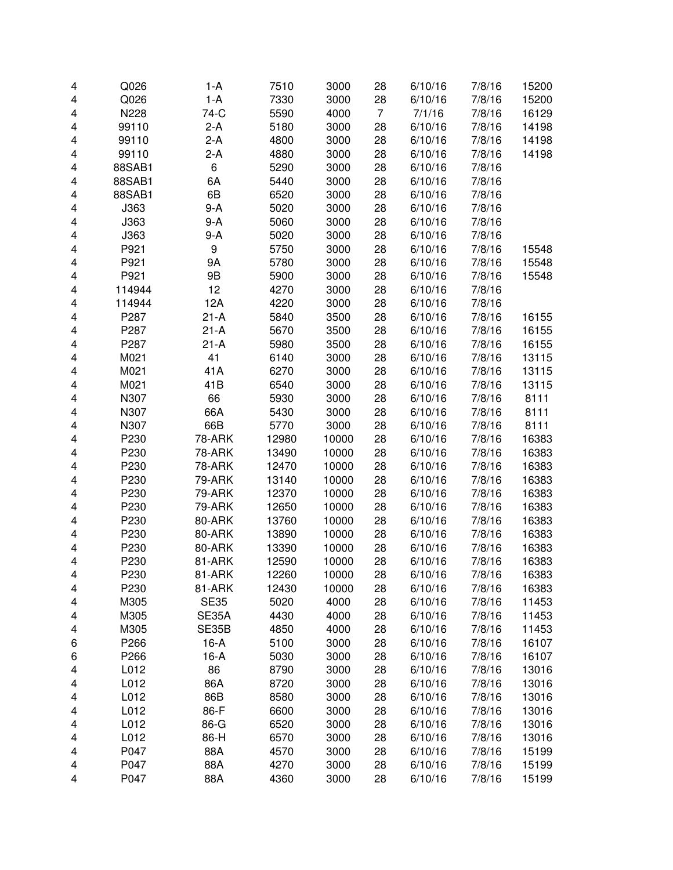| 4                       | Q026   | 1-A           | 7510  | 3000  | 28             | 6/10/16 | 7/8/16 | 15200 |
|-------------------------|--------|---------------|-------|-------|----------------|---------|--------|-------|
| 4                       | Q026   | $1-A$         | 7330  | 3000  | 28             | 6/10/16 | 7/8/16 | 15200 |
| 4                       | N228   | 74-C          | 5590  | 4000  | $\overline{7}$ | 7/1/16  | 7/8/16 | 16129 |
| 4                       | 99110  | $2-A$         | 5180  | 3000  | 28             | 6/10/16 | 7/8/16 | 14198 |
| 4                       | 99110  | $2-A$         | 4800  | 3000  | 28             | 6/10/16 | 7/8/16 | 14198 |
| 4                       | 99110  | 2-A           | 4880  | 3000  | 28             | 6/10/16 | 7/8/16 | 14198 |
| 4                       | 88SAB1 | 6             | 5290  | 3000  | 28             | 6/10/16 | 7/8/16 |       |
| 4                       | 88SAB1 | 6A            | 5440  | 3000  | 28             | 6/10/16 | 7/8/16 |       |
| 4                       | 88SAB1 | 6B            | 6520  | 3000  | 28             | 6/10/16 | 7/8/16 |       |
| 4                       | J363   | $9-A$         | 5020  | 3000  | 28             | 6/10/16 | 7/8/16 |       |
| 4                       | J363   | 9-A           | 5060  | 3000  | 28             | 6/10/16 | 7/8/16 |       |
| 4                       | J363   | 9-A           | 5020  | 3000  | 28             | 6/10/16 | 7/8/16 |       |
| 4                       | P921   | 9             | 5750  | 3000  | 28             | 6/10/16 | 7/8/16 | 15548 |
| 4                       | P921   | 9Α            | 5780  | 3000  | 28             | 6/10/16 | 7/8/16 | 15548 |
| $\overline{\mathbf{4}}$ | P921   | 9B            | 5900  | 3000  | 28             | 6/10/16 | 7/8/16 | 15548 |
| $\overline{\mathbf{4}}$ | 114944 | 12            | 4270  | 3000  | 28             | 6/10/16 | 7/8/16 |       |
| 4                       | 114944 | 12A           | 4220  | 3000  | 28             | 6/10/16 | 7/8/16 |       |
| 4                       | P287   | $21-A$        | 5840  | 3500  | 28             | 6/10/16 | 7/8/16 | 16155 |
| 4                       | P287   | $21 - A$      | 5670  | 3500  | 28             | 6/10/16 | 7/8/16 | 16155 |
| 4                       | P287   | $21 - A$      | 5980  | 3500  | 28             | 6/10/16 | 7/8/16 | 16155 |
| 4                       | M021   | 41            | 6140  | 3000  | 28             | 6/10/16 | 7/8/16 | 13115 |
| 4                       | M021   | 41A           | 6270  | 3000  | 28             | 6/10/16 | 7/8/16 | 13115 |
| 4                       | M021   | 41B           | 6540  | 3000  | 28             | 6/10/16 | 7/8/16 | 13115 |
| 4                       | N307   | 66            | 5930  | 3000  | 28             | 6/10/16 | 7/8/16 | 8111  |
| 4                       | N307   | 66A           | 5430  | 3000  | 28             | 6/10/16 | 7/8/16 | 8111  |
| 4                       | N307   | 66B           | 5770  | 3000  | 28             | 6/10/16 | 7/8/16 | 8111  |
| 4                       | P230   | <b>78-ARK</b> | 12980 | 10000 | 28             | 6/10/16 | 7/8/16 | 16383 |
| 4                       | P230   | 78-ARK        | 13490 | 10000 | 28             | 6/10/16 | 7/8/16 | 16383 |
| 4                       | P230   | 78-ARK        | 12470 | 10000 | 28             | 6/10/16 | 7/8/16 | 16383 |
| 4                       | P230   | 79-ARK        | 13140 | 10000 | 28             | 6/10/16 | 7/8/16 | 16383 |
| 4                       | P230   | 79-ARK        | 12370 | 10000 | 28             | 6/10/16 | 7/8/16 | 16383 |
| $\overline{\mathbf{4}}$ | P230   | 79-ARK        | 12650 | 10000 | 28             | 6/10/16 | 7/8/16 | 16383 |
| $\overline{\mathbf{4}}$ | P230   | 80-ARK        | 13760 | 10000 | 28             | 6/10/16 | 7/8/16 | 16383 |
| 4                       | P230   | 80-ARK        | 13890 | 10000 | 28             | 6/10/16 | 7/8/16 | 16383 |
| 4                       | P230   | 80-ARK        | 13390 | 10000 | 28             | 6/10/16 | 7/8/16 | 16383 |
| 4                       | P230   | 81-ARK        | 12590 | 10000 | 28             | 6/10/16 | 7/8/16 | 16383 |
| 4                       | P230   | 81-ARK        | 12260 | 10000 | 28             | 6/10/16 | 7/8/16 | 16383 |
| 4                       | P230   | 81-ARK        | 12430 | 10000 | 28             | 6/10/16 | 7/8/16 | 16383 |
| 4                       | M305   | <b>SE35</b>   | 5020  | 4000  | 28             | 6/10/16 | 7/8/16 | 11453 |
| 4                       | M305   | SE35A         | 4430  | 4000  | 28             | 6/10/16 | 7/8/16 | 11453 |
| 4                       | M305   | SE35B         | 4850  | 4000  | 28             | 6/10/16 | 7/8/16 | 11453 |
| 6                       | P266   | $16-A$        | 5100  | 3000  | 28             | 6/10/16 | 7/8/16 | 16107 |
| 6                       | P266   | $16-A$        | 5030  | 3000  | 28             | 6/10/16 | 7/8/16 | 16107 |
| 4                       | L012   | 86            | 8790  | 3000  | 28             | 6/10/16 | 7/8/16 | 13016 |
| 4                       | L012   | 86A           | 8720  | 3000  | 28             | 6/10/16 | 7/8/16 | 13016 |
| 4                       | L012   | 86B           | 8580  | 3000  | 28             | 6/10/16 | 7/8/16 | 13016 |
| 4                       | L012   | 86-F          | 6600  | 3000  | 28             | 6/10/16 | 7/8/16 | 13016 |
| 4                       | L012   | 86-G          | 6520  | 3000  | 28             | 6/10/16 | 7/8/16 | 13016 |
| 4                       | L012   | 86-H          | 6570  | 3000  | 28             | 6/10/16 | 7/8/16 | 13016 |
| 4                       | P047   | 88A           | 4570  | 3000  | 28             | 6/10/16 | 7/8/16 | 15199 |
| 4                       | P047   | 88A           | 4270  | 3000  | 28             | 6/10/16 | 7/8/16 | 15199 |
| 4                       | P047   | 88A           | 4360  | 3000  | 28             | 6/10/16 | 7/8/16 | 15199 |
|                         |        |               |       |       |                |         |        |       |